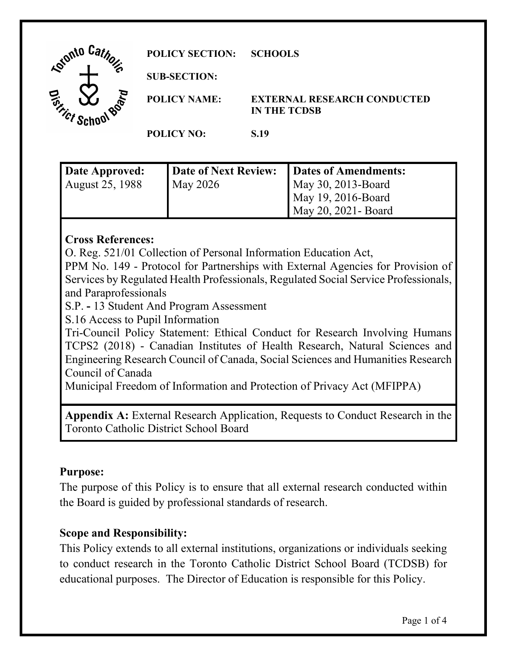| Lonto Car<br>ъ                                         | <b>POLICY SECTION:</b> | <b>SCHOOLS</b>                                            |
|--------------------------------------------------------|------------------------|-----------------------------------------------------------|
|                                                        | <b>SUB-SECTION:</b>    |                                                           |
| <b>RALD</b><br>$\boldsymbol{\psi}$<br><sup>ri</sup> ct | <b>POLICY NAME:</b>    | <b>EXTERNAL RESEARCH CONDUCTED</b><br><b>IN THE TCDSB</b> |
|                                                        | <b>POLICY NO:</b>      | S.19                                                      |
|                                                        |                        |                                                           |

| Date Approved:  | Date of Next Review: | Dates of Amendments: |
|-----------------|----------------------|----------------------|
| August 25, 1988 | May 2026             | May 30, 2013-Board   |
|                 |                      | May 19, 2016-Board   |
|                 |                      | May 20, 2021 - Board |

### **Cross References:**

O. Reg. 521/01 Collection of Personal Information Education Act,

PPM No. 149 - Protocol for Partnerships with External Agencies for Provision of Services by Regulated Health Professionals, Regulated Social Service Professionals, and Paraprofessionals

S.P. **-** 13 Student And Program Assessment

S.16 Access to Pupil Information

Tri-Council Policy Statement: Ethical Conduct for Research Involving Humans TCPS2 (2018) - Canadian Institutes of Health Research, Natural Sciences and Engineering Research Council of Canada, Social Sciences and Humanities Research Council of Canada

Municipal Freedom of Information and Protection of Privacy Act (MFIPPA)

**Appendix A:** External Research Application, Requests to Conduct Research in the Toronto Catholic District School Board

#### **Purpose:**

The purpose of this Policy is to ensure that all external research conducted within the Board is guided by professional standards of research.

## **Scope and Responsibility:**

This Policy extends to all external institutions, organizations or individuals seeking to conduct research in the Toronto Catholic District School Board (TCDSB) for educational purposes. The Director of Education is responsible for this Policy.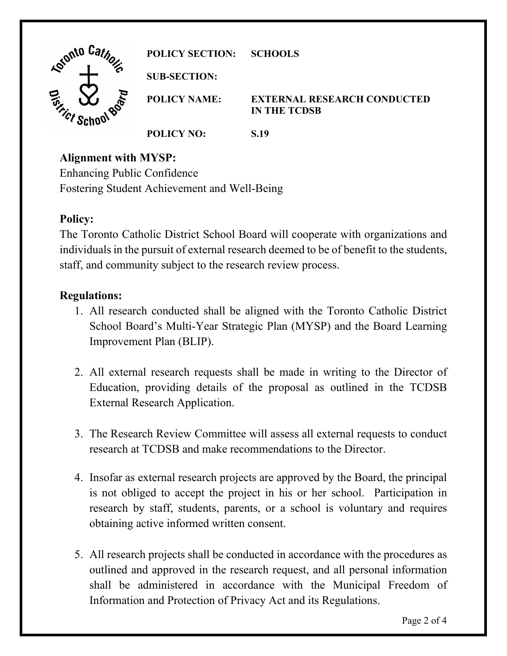| Lonto Car                       | <b>POLICY SECTION:</b> | <b>SCHOOLS</b>                                            |
|---------------------------------|------------------------|-----------------------------------------------------------|
| ా                               | <b>SUB-SECTION:</b>    |                                                           |
| <b>.800</b><br><sup>ri</sup> ct | <b>POLICY NAME:</b>    | <b>EXTERNAL RESEARCH CONDUCTED</b><br><b>IN THE TCDSB</b> |
|                                 | <b>POLICY NO:</b>      | S.19                                                      |

## **Alignment with MYSP:**

Enhancing Public Confidence Fostering Student Achievement and Well-Being

### **Policy:**

The Toronto Catholic District School Board will cooperate with organizations and individuals in the pursuit of external research deemed to be of benefit to the students, staff, and community subject to the research review process.

### **Regulations:**

- 1. All research conducted shall be aligned with the Toronto Catholic District School Board's Multi-Year Strategic Plan (MYSP) and the Board Learning Improvement Plan (BLIP).
- 2. All external research requests shall be made in writing to the Director of Education, providing details of the proposal as outlined in the TCDSB External Research Application.
- 3. The Research Review Committee will assess all external requests to conduct research at TCDSB and make recommendations to the Director.
- 4. Insofar as external research projects are approved by the Board, the principal is not obliged to accept the project in his or her school. Participation in research by staff, students, parents, or a school is voluntary and requires obtaining active informed written consent.
- 5. All research projects shall be conducted in accordance with the procedures as outlined and approved in the research request, and all personal information shall be administered in accordance with the Municipal Freedom of Information and Protection of Privacy Act and its Regulations.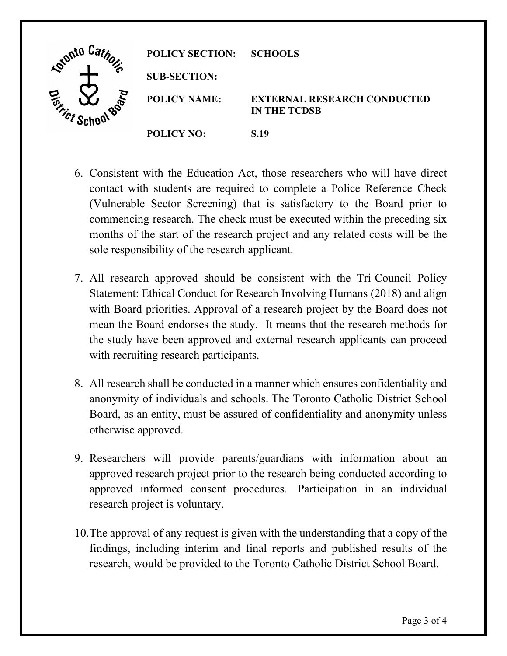| <b>Adignto</b> | <b>POLICY SECTION:</b> | <b>SCHOOLS</b>                                            |
|----------------|------------------------|-----------------------------------------------------------|
|                | <b>SUB-SECTION:</b>    |                                                           |
| $\infty$       | <b>POLICY NAME:</b>    | <b>EXTERNAL RESEARCH CONDUCTED</b><br><b>IN THE TCDSB</b> |
|                | <b>POLICY NO:</b>      | S.19                                                      |

- 6. Consistent with the Education Act, those researchers who will have direct contact with students are required to complete a Police Reference Check (Vulnerable Sector Screening) that is satisfactory to the Board prior to commencing research. The check must be executed within the preceding six months of the start of the research project and any related costs will be the sole responsibility of the research applicant.
- 7. All research approved should be consistent with the Tri-Council Policy Statement: Ethical Conduct for Research Involving Humans (2018) and align with Board priorities. Approval of a research project by the Board does not mean the Board endorses the study. It means that the research methods for the study have been approved and external research applicants can proceed with recruiting research participants.
- 8. All research shall be conducted in a manner which ensures confidentiality and anonymity of individuals and schools. The Toronto Catholic District School Board, as an entity, must be assured of confidentiality and anonymity unless otherwise approved.
- 9. Researchers will provide parents/guardians with information about an approved research project prior to the research being conducted according to approved informed consent procedures. Participation in an individual research project is voluntary.
- 10.The approval of any request is given with the understanding that a copy of the findings, including interim and final reports and published results of the research, would be provided to the Toronto Catholic District School Board.